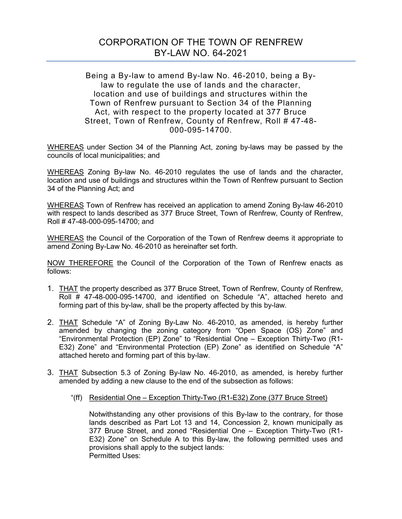## CORPORATION OF THE TOWN OF RENFREW BY-LAW NO. 64-2021

## Being a By-law to amend By-law No. 46-2010, being a Bylaw to regulate the use of lands and the character, location and use of buildings and structures within the Town of Renfrew pursuant to Section 34 of the Planning Act, with respect to the property located at 377 Bruce Street, Town of Renfrew, County of Renfrew, Roll # 47-48- 000-095-14700.

WHEREAS under Section 34 of the Planning Act, zoning by-laws may be passed by the councils of local municipalities; and

WHEREAS Zoning By-law No. 46-2010 regulates the use of lands and the character, location and use of buildings and structures within the Town of Renfrew pursuant to Section 34 of the Planning Act; and

WHEREAS Town of Renfrew has received an application to amend Zoning By-law 46-2010 with respect to lands described as 377 Bruce Street, Town of Renfrew, County of Renfrew, Roll # 47-48-000-095-14700; and

WHEREAS the Council of the Corporation of the Town of Renfrew deems it appropriate to amend Zoning By-Law No. 46-2010 as hereinafter set forth.

NOW THEREFORE the Council of the Corporation of the Town of Renfrew enacts as follows:

- 1. THAT the property described as 377 Bruce Street, Town of Renfrew, County of Renfrew, Roll # 47-48-000-095-14700, and identified on Schedule "A", attached hereto and forming part of this by-law, shall be the property affected by this by-law.
- 2. THAT Schedule "A" of Zoning By-Law No. 46-2010, as amended, is hereby further amended by changing the zoning category from "Open Space (OS) Zone" and "Environmental Protection (EP) Zone" to "Residential One – Exception Thirty-Two (R1- E32) Zone" and "Environmental Protection (EP) Zone" as identified on Schedule "A" attached hereto and forming part of this by-law.
- 3. THAT Subsection 5.3 of Zoning By-law No. 46-2010, as amended, is hereby further amended by adding a new clause to the end of the subsection as follows:
	- "(ff) Residential One Exception Thirty-Two (R1-E32) Zone (377 Bruce Street)

Notwithstanding any other provisions of this By-law to the contrary, for those lands described as Part Lot 13 and 14, Concession 2, known municipally as 377 Bruce Street, and zoned "Residential One – Exception Thirty-Two (R1- E32) Zone" on Schedule A to this By-law, the following permitted uses and provisions shall apply to the subject lands: Permitted Uses: